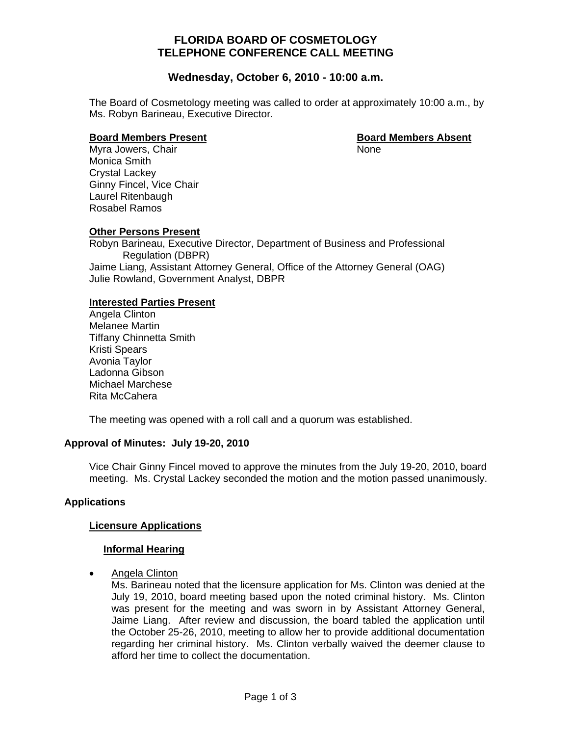# **FLORIDA BOARD OF COSMETOLOGY TELEPHONE CONFERENCE CALL MEETING**

# **Wednesday, October 6, 2010 - 10:00 a.m.**

The Board of Cosmetology meeting was called to order at approximately 10:00 a.m., by Ms. Robyn Barineau, Executive Director.

#### **Board Members Present Communist Communist Property Research Board Members Absent**

Myra Jowers, Chair None Monica Smith Crystal Lackey Ginny Fincel, Vice Chair Laurel Ritenbaugh Rosabel Ramos

**Other Persons Present** Robyn Barineau, Executive Director, Department of Business and Professional Regulation (DBPR) Jaime Liang, Assistant Attorney General, Office of the Attorney General (OAG) Julie Rowland, Government Analyst, DBPR

# **Interested Parties Present**

 Angela Clinton Melanee Martin Tiffany Chinnetta Smith Kristi Spears Avonia Taylor Ladonna Gibson Michael Marchese Rita McCahera

The meeting was opened with a roll call and a quorum was established.

# **Approval of Minutes: July 19-20, 2010**

Vice Chair Ginny Fincel moved to approve the minutes from the July 19-20, 2010, board meeting. Ms. Crystal Lackey seconded the motion and the motion passed unanimously.

# **Applications**

## **Licensure Applications**

## **Informal Hearing**

**Angela Clinton** 

Ms. Barineau noted that the licensure application for Ms. Clinton was denied at the July 19, 2010, board meeting based upon the noted criminal history. Ms. Clinton was present for the meeting and was sworn in by Assistant Attorney General, Jaime Liang. After review and discussion, the board tabled the application until the October 25-26, 2010, meeting to allow her to provide additional documentation regarding her criminal history. Ms. Clinton verbally waived the deemer clause to afford her time to collect the documentation.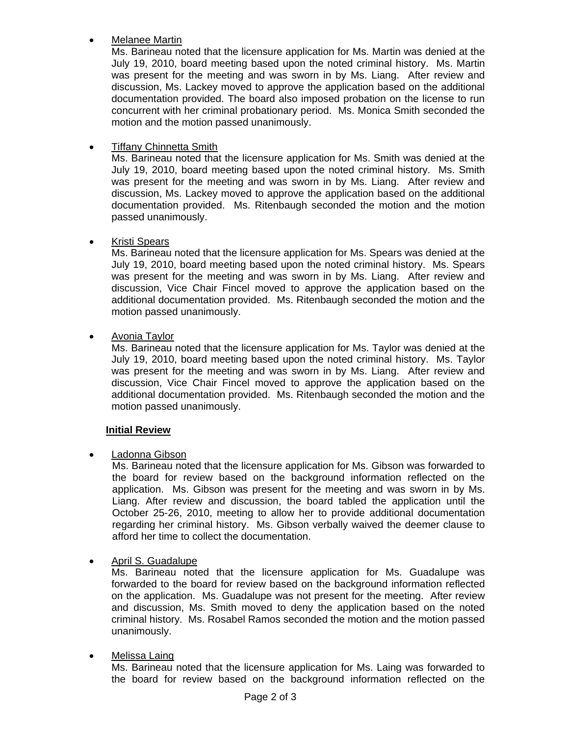# Melanee Martin

Ms. Barineau noted that the licensure application for Ms. Martin was denied at the July 19, 2010, board meeting based upon the noted criminal history. Ms. Martin was present for the meeting and was sworn in by Ms. Liang. After review and discussion, Ms. Lackey moved to approve the application based on the additional documentation provided. The board also imposed probation on the license to run concurrent with her criminal probationary period. Ms. Monica Smith seconded the motion and the motion passed unanimously.

# • Tiffany Chinnetta Smith

Ms. Barineau noted that the licensure application for Ms. Smith was denied at the July 19, 2010, board meeting based upon the noted criminal history. Ms. Smith was present for the meeting and was sworn in by Ms. Liang. After review and discussion, Ms. Lackey moved to approve the application based on the additional documentation provided. Ms. Ritenbaugh seconded the motion and the motion passed unanimously.

## • Kristi Spears

Ms. Barineau noted that the licensure application for Ms. Spears was denied at the July 19, 2010, board meeting based upon the noted criminal history. Ms. Spears was present for the meeting and was sworn in by Ms. Liang. After review and discussion, Vice Chair Fincel moved to approve the application based on the additional documentation provided. Ms. Ritenbaugh seconded the motion and the motion passed unanimously.

# • Avonia Taylor

Ms. Barineau noted that the licensure application for Ms. Taylor was denied at the July 19, 2010, board meeting based upon the noted criminal history. Ms. Taylor was present for the meeting and was sworn in by Ms. Liang. After review and discussion, Vice Chair Fincel moved to approve the application based on the additional documentation provided. Ms. Ritenbaugh seconded the motion and the motion passed unanimously.

## **Initial Review**

## Ladonna Gibson

Ms. Barineau noted that the licensure application for Ms. Gibson was forwarded to the board for review based on the background information reflected on the application. Ms. Gibson was present for the meeting and was sworn in by Ms. Liang. After review and discussion, the board tabled the application until the October 25-26, 2010, meeting to allow her to provide additional documentation regarding her criminal history. Ms. Gibson verbally waived the deemer clause to afford her time to collect the documentation.

## • April S. Guadalupe

Ms. Barineau noted that the licensure application for Ms. Guadalupe was forwarded to the board for review based on the background information reflected on the application. Ms. Guadalupe was not present for the meeting. After review and discussion, Ms. Smith moved to deny the application based on the noted criminal history. Ms. Rosabel Ramos seconded the motion and the motion passed unanimously.

# • Melissa Laing

Ms. Barineau noted that the licensure application for Ms. Laing was forwarded to the board for review based on the background information reflected on the